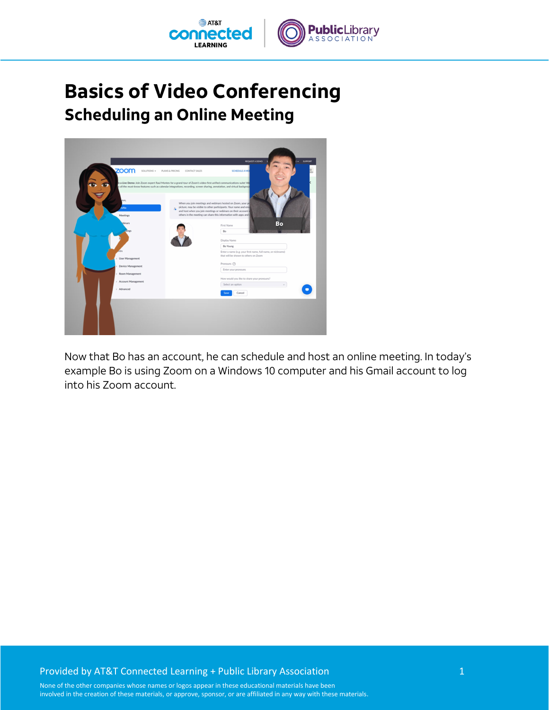

## **Basics of Video Conferencing Scheduling an Online Meeting**



Now that Bo has an account, he can schedule and host an online meeting. In today's example Bo is using Zoom on a Windows 10 computer and his Gmail account to log into his Zoom account.

## Provided by AT&T Connected Learning + Public Library Association 1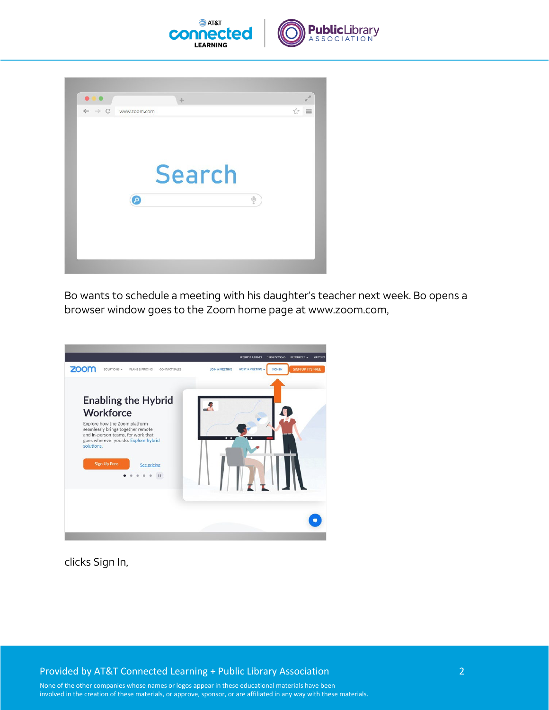



Bo wants to schedule a meeting with his daughter's teacher next week. Bo opens a browser window goes to the Zoom home page at www.zoom.com,



clicks Sign In,

Provided by AT&T Connected Learning + Public Library Association 2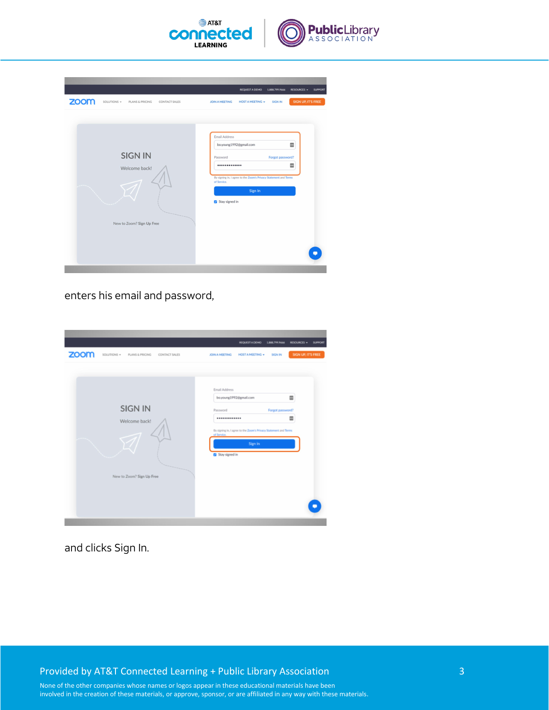

| zoom | SOLUTIONS -<br>PLANS & PRICING                               | <b>CONTACT SALES</b> | <b>JOIN A MEETING</b>                                          | <b>REQUEST A DEMO</b><br><b>HOST A MEETING +</b>                                                      | 1.888.799.9666<br><b>SIGN IN</b> | <b>RESOURCES -</b><br>SIGN UP, IT'S FREE | <b>SUPPORT</b> |
|------|--------------------------------------------------------------|----------------------|----------------------------------------------------------------|-------------------------------------------------------------------------------------------------------|----------------------------------|------------------------------------------|----------------|
|      | <b>SIGN IN</b><br>Welcome back!<br>New to Zoom? Sign Up Free |                      | Email Address<br>Password<br><br>of Service.<br>Stay signed in | bo.young1992@gmail.com<br>By signing in, I agree to the Zoom's Privacy Statement and Terms<br>Sign In | Forgot password?                 | E<br>E                                   |                |

enters his email and password,

| zoom | SOLUTIONS -<br>PLANS & PRICING                               | CONTACT SALES | <b>JOIN A MEETING</b>                                                                    | <b>REQUEST A DEMO</b><br><b>HOST A MEETING +</b>                            | 1.888.799.9666<br><b>SIGN IN</b> | <b>RESOURCES -</b><br>SIGN UP, IT'S FREE | <b>SUPPORT</b> |
|------|--------------------------------------------------------------|---------------|------------------------------------------------------------------------------------------|-----------------------------------------------------------------------------|----------------------------------|------------------------------------------|----------------|
|      | <b>SIGN IN</b><br>Welcome back!<br>New to Zoom? Sign Up Free |               | Email Address<br>bo.young1992@gmail.com<br>Password<br><br>of Service.<br>Stay signed in | By signing in, I agree to the Zoom's Privacy Statement and Terms<br>Sign In | Forgot password?                 | 冒<br>Ξ                                   |                |

and clicks Sign In.

Provided by AT&T Connected Learning + Public Library Association 3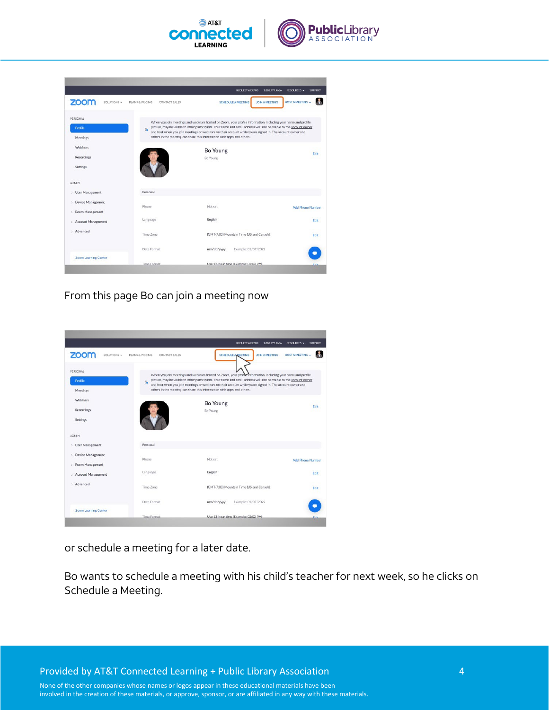

|                                           |                                  | <b>REQUEST A DEMO</b><br>1.888.799.9666                                                                                                                                                                                                                                                                                                             | <b>RESOURCES -</b><br><b>SUPPORT</b> |
|-------------------------------------------|----------------------------------|-----------------------------------------------------------------------------------------------------------------------------------------------------------------------------------------------------------------------------------------------------------------------------------------------------------------------------------------------------|--------------------------------------|
| zoom<br>SOLUTIONS -                       | PLANS & PRICING<br>CONTACT SALES | <b>SCHEDULE A MEETING</b><br><b>JOIN A MEETING</b>                                                                                                                                                                                                                                                                                                  | HOST A MEETING                       |
| PERSONAL                                  |                                  |                                                                                                                                                                                                                                                                                                                                                     |                                      |
| Profile                                   | g.                               | When you join meetings and webinars hosted on Zoom, your profile information, including your name and profile<br>picture, may be visible to other participants. Your name and email address will also be visible to the account owner<br>and host when you join meetings or webinars on their account while you're signed in. The account owner and |                                      |
| Meetings                                  |                                  | others in the meeting can share this information with apps and others.                                                                                                                                                                                                                                                                              |                                      |
| <b>Webinars</b>                           |                                  | <b>Bo Young</b>                                                                                                                                                                                                                                                                                                                                     |                                      |
| Recordings                                |                                  | <b>Bo Young</b>                                                                                                                                                                                                                                                                                                                                     | Edit                                 |
| Settings                                  |                                  |                                                                                                                                                                                                                                                                                                                                                     |                                      |
| <b>ADMIN</b>                              |                                  |                                                                                                                                                                                                                                                                                                                                                     |                                      |
| > User Management                         | Personal                         |                                                                                                                                                                                                                                                                                                                                                     |                                      |
| <b>Device Management</b><br>$\mathcal{P}$ |                                  |                                                                                                                                                                                                                                                                                                                                                     |                                      |
| Room Management<br>s.                     | Phone                            | Not set                                                                                                                                                                                                                                                                                                                                             | <b>Add Phone Number</b>              |
| > Account Management                      | Language                         | English                                                                                                                                                                                                                                                                                                                                             | Edit                                 |
|                                           |                                  |                                                                                                                                                                                                                                                                                                                                                     |                                      |
| Advanced<br>s                             | Time Zone                        | (GMT-7:00) Mountain Time (US and Canada)                                                                                                                                                                                                                                                                                                            | Edit                                 |
|                                           | Date Format                      | mm/dd/yyyy<br>Example: 01/07/2022                                                                                                                                                                                                                                                                                                                   |                                      |
| <b>Zoom Learning Center</b>               |                                  |                                                                                                                                                                                                                                                                                                                                                     |                                      |
|                                           | Time Format                      | Use 12-hour time (Example: 02:00 PM).                                                                                                                                                                                                                                                                                                               |                                      |

From this page Bo can join a meeting now

|                                                 |                                  | 1.888.799.9666<br><b>REQUEST A DEMO</b>                                                                                                                                                                                            | <b>RESOURCES -</b><br><b>SUPPORT</b> |
|-------------------------------------------------|----------------------------------|------------------------------------------------------------------------------------------------------------------------------------------------------------------------------------------------------------------------------------|--------------------------------------|
| <b>ZOOM</b><br>SOLUTIONS -                      | PLANS & PRICING<br>CONTACT SALES | <b>SCHEDULE AMEETING</b><br><b>JOIN A MEETING</b>                                                                                                                                                                                  | <b>HOST A MEETING</b>                |
| PERSONAL                                        |                                  | When you join meetings and webinars hosted on Zoom, your prome information, including your name and profile                                                                                                                        |                                      |
| Profile                                         | g.                               | picture, may be visible to other participants. Your name and email address will also be visible to the account owner<br>and host when you join meetings or webinars on their account while you're signed in. The account owner and |                                      |
| Meetings                                        |                                  | others in the meeting can share this information with apps and others.                                                                                                                                                             |                                      |
| Webinars                                        |                                  | <b>Bo Young</b>                                                                                                                                                                                                                    |                                      |
| Recordings                                      |                                  | <b>Bo Young</b>                                                                                                                                                                                                                    | Edit                                 |
| Settings                                        |                                  |                                                                                                                                                                                                                                    |                                      |
| <b>ADMIN</b>                                    |                                  |                                                                                                                                                                                                                                    |                                      |
| <b>User Management</b><br>$\boldsymbol{\gamma}$ | Personal                         |                                                                                                                                                                                                                                    |                                      |
| <b>Device Management</b><br>$\lambda$           | Phone                            | Not set                                                                                                                                                                                                                            |                                      |
| Room Management<br>$\mathcal{P}$                |                                  |                                                                                                                                                                                                                                    | <b>Add Phone Number</b>              |
| <b>Account Management</b><br>$\geq$             | Language                         | English                                                                                                                                                                                                                            | Edit                                 |
| Advanced<br>s                                   | Time Zone                        | (GMT-7:00) Mountain Time (US and Canada)                                                                                                                                                                                           | Edit                                 |
|                                                 | Date Format                      | Example: 01/07/2022<br>mm/dd/yyyy                                                                                                                                                                                                  |                                      |
| <b>Zoom Learning Center</b>                     |                                  |                                                                                                                                                                                                                                    |                                      |

or schedule a meeting for a later date.

Bo wants to schedule a meeting with his child's teacher for next week, so he clicks on Schedule a Meeting.

Provided by AT&T Connected Learning + Public Library Association 4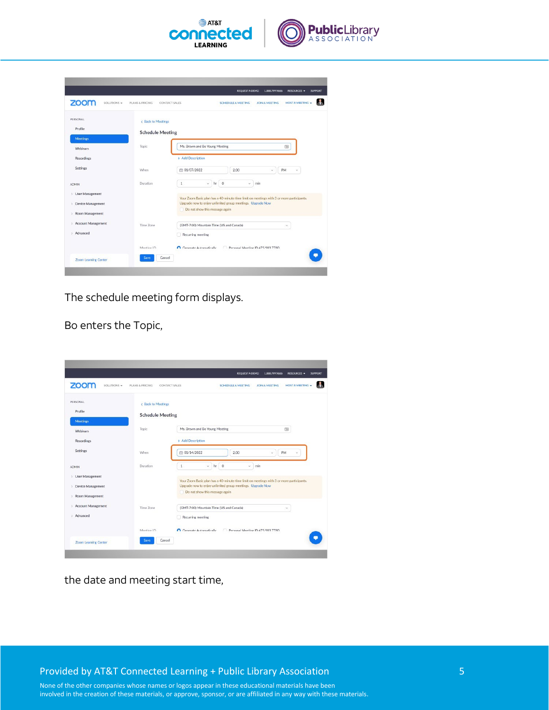

| zoom<br>SOLUTIONS -                | PLANS & PRICING         | <b>HOST A MEETING -</b><br>CONTACT SALES<br><b>SCHEDULE A MEETING</b><br><b>JOIN A MEETING</b> |
|------------------------------------|-------------------------|------------------------------------------------------------------------------------------------|
| PERSONAL                           | < Back to Meetings      |                                                                                                |
| Profile                            | <b>Schedule Meeting</b> |                                                                                                |
| <b>Meetings</b><br><b>Webinars</b> | Topic                   | Ms. Brown and Bo Young Meeting<br>囤                                                            |
| Recordings                         |                         | + Add Description                                                                              |
| Settings                           | When                    | ● 01/07/2022<br>2:00<br>PM<br>v<br>w                                                           |
| <b>ADMIN</b>                       | <b>Duration</b>         | $\circ$<br>$\,$ 1 $\,$<br>hr<br>v.<br>Ù.<br>min                                                |
| > User Management                  |                         | Your Zoom Basic plan has a 40-minute time limit on meetings with 3 or more participants.       |
| Device Management<br>$\mathbf{y}$  |                         | Upgrade now to enjoy unlimited group meetings. Upgrade Now                                     |
| Room Management<br>$\mathcal{F}$   |                         | Do not show this message again                                                                 |
| > Account Management               | Time Zone               | (GMT-7:00) Mountain Time (US and Canada)<br>$\checkmark$                                       |
| Advanced<br>s.                     |                         | Recurring meeting                                                                              |
|                                    | Meeting ID.             | Conerate Automatically<br>Personal Meeting ID 475 903 7780                                     |
| <b>Zoom Learning Center</b>        | Save<br>Cancel          |                                                                                                |

The schedule meeting form displays.

Bo enters the Topic,

|                                          |                         | <b>REQUEST A DEMO</b><br>1.888.799.9666<br><b>RESOURCES -</b><br><b>SUPPORT</b>              |
|------------------------------------------|-------------------------|----------------------------------------------------------------------------------------------|
| zoom<br>SOLUTIONS -                      | PLANS & PRICING         | <b>HOST A MEETING</b><br>CONTACT SALES<br><b>SCHEDULE A MEETING</b><br><b>JOIN A MEETING</b> |
| PERSONAL                                 | < Back to Meetings      |                                                                                              |
| Profile<br><b>Meetings</b>               | <b>Schedule Meeting</b> |                                                                                              |
| <b>Webinars</b>                          | Topic                   | Ms. Brown and Bo Young Meeting<br>囤                                                          |
| Recordings                               |                         | + Add Description                                                                            |
| Settings                                 | When                    | ■ 01/14/2022<br>2:00<br>PM<br>U<br>w                                                         |
| <b>ADMIN</b>                             | Duration                | $\mathbf{1}$<br>$v$ hr 0<br>min<br>w.                                                        |
| > User Management                        |                         | Your Zoom Basic plan has a 40-minute time limit on meetings with 3 or more participants.     |
| > Device Management<br>> Room Management |                         | Upgrade now to enjoy unlimited group meetings. Upgrade Now<br>Do not show this message again |
| > Account Management                     | Time Zone               | (GMT-7:00) Mountain Time (US and Canada)<br>$\checkmark$                                     |
| > Advanced                               |                         | Recurring meeting                                                                            |
|                                          | Meeting ID.             | Conerate Automatically<br>Personal Meeting ID 475 903 7780                                   |
| <b>Zoom Learning Center</b>              | Cancel<br>Save          |                                                                                              |

the date and meeting start time,

Provided by AT&T Connected Learning + Public Library Association 5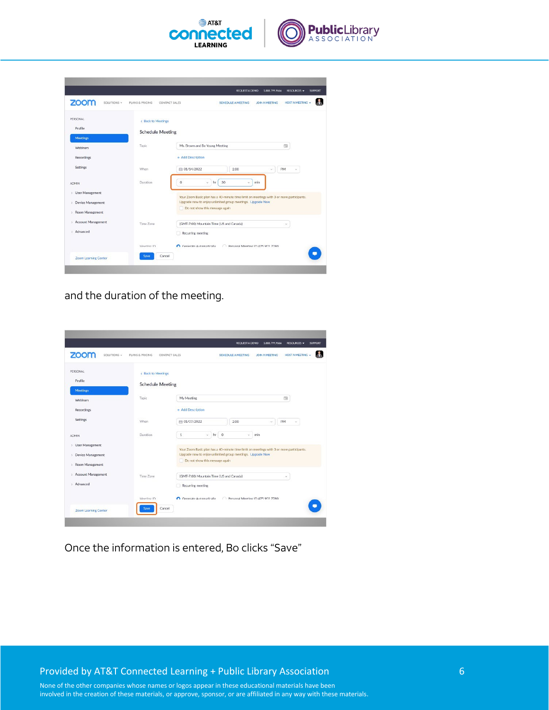

| zoom<br>SOLUTIONS +                      | PLANS & PRICING         | <b>HOST A MEETING +</b><br>CONTACT SALES<br><b>SCHEDULE A MEETING</b><br><b>JOIN A MEETING</b> |
|------------------------------------------|-------------------------|------------------------------------------------------------------------------------------------|
| PERSONAL<br>Profile                      | < Back to Meetings      |                                                                                                |
| <b>Meetings</b>                          | <b>Schedule Meeting</b> |                                                                                                |
| <b>Webinars</b>                          | Topic                   | Ms. Brown and Bo Young Meeting<br>囤                                                            |
| Recordings                               |                         | + Add Description                                                                              |
| Settings                                 | When                    | ■ 01/14/2022<br>2:00<br>PM<br>$\omega$<br>$\sim$                                               |
| <b>ADMIN</b>                             | <b>Duration</b>         | $\circ$<br>30<br>$\omega$<br>hr<br>ù.<br>min                                                   |
| > User Management                        |                         | Your Zoom Basic plan has a 40-minute time limit on meetings with 3 or more participants.       |
| <b>Device Management</b><br>$\mathbf{y}$ |                         | Upgrade now to enjoy unlimited group meetings. Upgrade Now                                     |
| > Room Management                        |                         | Do not show this message again                                                                 |
| > Account Management                     | Time Zone               | (GMT-7:00) Mountain Time (US and Canada)<br>ü                                                  |
| Advanced<br>s.                           |                         | Recurring meeting                                                                              |
|                                          | Meeting ID.             | Personal Meeting ID 475 903 7780<br>Conerate Automatically                                     |
| <b>Zoom Learning Center</b>              | Cancel<br><b>Save</b>   |                                                                                                |

and the duration of the meeting.

| zoom<br>SOLUTIONS -                | PLANS & PRICING         | <b>HOST A MEETING +</b><br>CONTACT SALES<br><b>SCHEDULE A MEETING</b><br><b>JOIN A MEETING</b> |
|------------------------------------|-------------------------|------------------------------------------------------------------------------------------------|
| PERSONAL                           | < Back to Meetings      |                                                                                                |
| Profile                            | <b>Schedule Meeting</b> |                                                                                                |
| Meetings<br><b>Webinars</b>        | Topic                   | My Meeting<br>田                                                                                |
| Recordings                         |                         | + Add Description                                                                              |
| Settings                           | When                    | ● 01/07/2022<br>2:00<br>PM<br>$\mathcal{G}$                                                    |
| <b>ADMIN</b>                       | Duration                | $hr$ 0<br>$\mathbf{1}$<br>v.<br>$\omega$<br>min                                                |
| > User Management                  |                         | Your Zoom Basic plan has a 40-minute time limit on meetings with 3 or more participants.       |
| Device Management<br>$\mathcal{Y}$ |                         | Upgrade now to enjoy unlimited group meetings. Upgrade Now                                     |
| Room Management<br>$\mathcal{F}$   |                         | Do not show this message again                                                                 |
| > Account Management               | Time Zone               | (GMT-7:00) Mountain Time (US and Canada)<br>$\sim$                                             |
| > Advanced                         |                         | Recurring meeting                                                                              |
|                                    | Meeting ID              | Conceste Automatically<br>Personal Meeting ID 475 903 7780                                     |

Once the information is entered, Bo clicks "Save"

Provided by AT&T Connected Learning + Public Library Association 6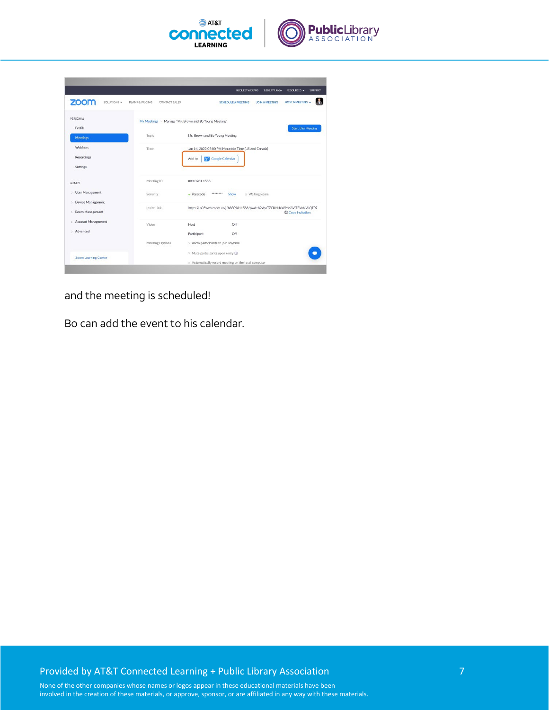



and the meeting is scheduled!

Bo can add the event to his calendar.

## Provided by AT&T Connected Learning + Public Library Association 7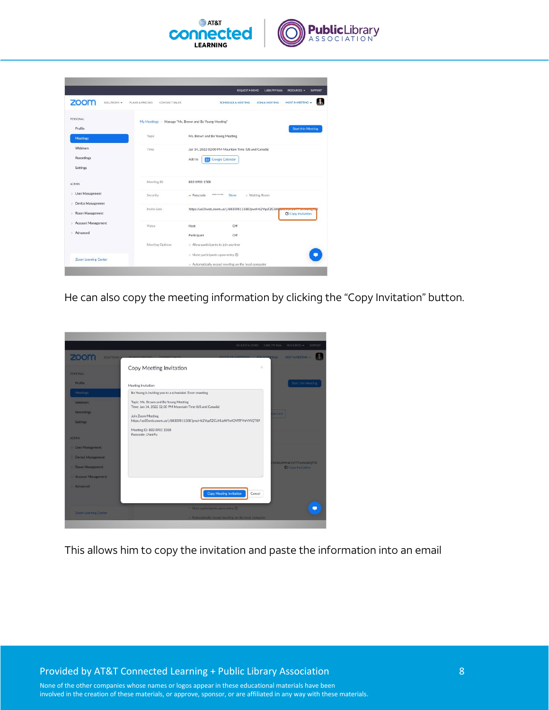

|                                                                            |                                  | <b>SUPPORT</b><br><b>REQUEST A DEMO</b><br>1.888.799.9666<br><b>RESOURCES -</b>                  |
|----------------------------------------------------------------------------|----------------------------------|--------------------------------------------------------------------------------------------------|
| zoom<br>SOLUTIONS -                                                        | PLANS & PRICING<br>CONTACT SALES | <b>HOST A MEETING</b><br><b>SCHEDULE A MEETING</b><br><b>JOIN A MEETING</b>                      |
| <b>PERSONAL</b>                                                            |                                  | My Meetings > Manage "Ms. Brown and Bo Young Meeting"                                            |
| Profile                                                                    |                                  | <b>Start this Meeting</b>                                                                        |
| <b>Meetings</b>                                                            | Topic                            | Ms. Brown and Bo Young Meeting                                                                   |
| Webinars                                                                   | Time                             | Jan 14, 2022 02:00 PM Mountain Time (US and Canada)                                              |
| Recordings                                                                 |                                  | Google Calendar<br>Add to<br>31                                                                  |
| Settings                                                                   |                                  |                                                                                                  |
| <b>ADMIN</b>                                                               | Meeting ID                       | 883 0981 1588                                                                                    |
| <b>User Management</b><br>$\mathcal{F}$                                    | Security                         | <br>x Waiting Room<br>$\blacktriangleright$ Passcode<br>Show                                     |
| <b>Device Management</b><br>$\boldsymbol{\gamma}$<br>Room Management<br>s. | Invite Link                      | https://us05web.zoom.us/j/88309811588?pwd=b2VqaTZCUHbavv7oic3vTT vn vviiqTQ<br>C Copy Invitation |
| > Account Management                                                       | Video                            | Off<br>Host                                                                                      |
| > Advanced                                                                 |                                  | Off<br>Participant                                                                               |
|                                                                            | Meeting Options                  | $\times$ Allow participants to join anytime                                                      |
| <b>Zoom Learning Center</b>                                                |                                  | $\times$ Mute participants upon entry $\times$                                                   |
|                                                                            |                                  | $\times$ Automatically record meeting on the local computer                                      |

He can also copy the meeting information by clicking the "Copy Invitation" button.



This allows him to copy the invitation and paste the information into an email

Provided by AT&T Connected Learning + Public Library Association 8